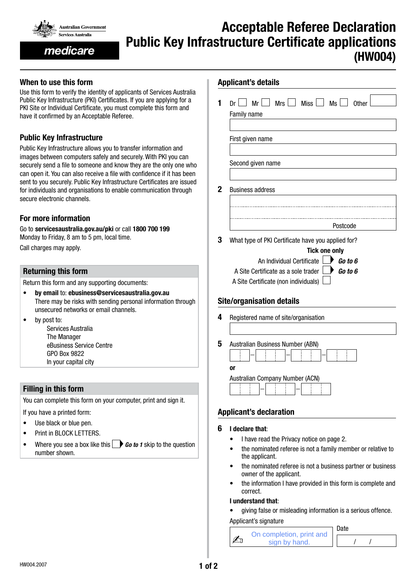

medicare

# Acceptable Referee Declaration Public Key Infrastructure Certificate applications (HW004)

## When to use this form

Use this form to verify the identity of applicants of Services Australia Public Key Infrastructure (PKI) Certificates. If you are applying for a PKI Site or Individual Certificate, you must complete this form and have it confirmed by an Acceptable Referee.

# Public Key Infrastructure

Public Key Infrastructure allows you to transfer information and images between computers safely and securely. With PKI you can securely send a file to someone and know they are the only one who can open it. You can also receive a file with confidence if it has been sent to you securely. Public Key Infrastructure Certificates are issued for individuals and organisations to enable communication through secure electronic channels.

#### For more information

Go to servicesaustralia.gov.au/pki or call 1800 700 199 Monday to Friday, 8 am to 5 pm, local time.

Call charges may apply.

#### Returning this form

Return this form and any supporting documents:

- by email to: ebusiness@servicesaustralia.gov.au There may be risks with sending personal information through unsecured networks or email channels.
- by post to:

Services Australia The Manager eBusiness Service Centre GPO Box 9822 In your capital city

#### Filling in this form

You can complete this form on your computer, print and sign it.

If you have a printed form:

- Use black or blue pen.
- Print in BLOCK LETTERS.
- Where you see a box like this **Go to 1** skip to the question number shown.

| 1           | $Dr \cup Mr \cup Mrs \cup Miss \cup Ms \cup Other$<br>Family name          |  |  |  |  |
|-------------|----------------------------------------------------------------------------|--|--|--|--|
|             | First given name                                                           |  |  |  |  |
|             | Second given name                                                          |  |  |  |  |
| $\mathbf 2$ | <b>Business address</b>                                                    |  |  |  |  |
|             | Postcode                                                                   |  |  |  |  |
| 3           | What type of PKI Certificate have you applied for?<br><b>Tick one only</b> |  |  |  |  |
|             | An Individual Certificate<br>$\triangleright$ Go to 6                      |  |  |  |  |
|             | A Site Certificate as a sole trader $\Box$ <b>Go to 6</b>                  |  |  |  |  |
|             | A Site Certificate (non individuals)                                       |  |  |  |  |
|             | <b>Site/organisation details</b>                                           |  |  |  |  |
| 4           | Registered name of site/organisation                                       |  |  |  |  |
| 5           | Australian Business Number (ABN)                                           |  |  |  |  |
|             | or                                                                         |  |  |  |  |
|             | Australian Company Number (ACN)                                            |  |  |  |  |

- I have read the Privacy notice on page 2.
- the nominated referee is not a family member or relative to the applicant.
- the nominated referee is not a business partner or business owner of the applicant.
- the information I have provided in this form is complete and correct.

#### I understand that:

• giving false or misleading information is a serious offence.

Applicant's signature